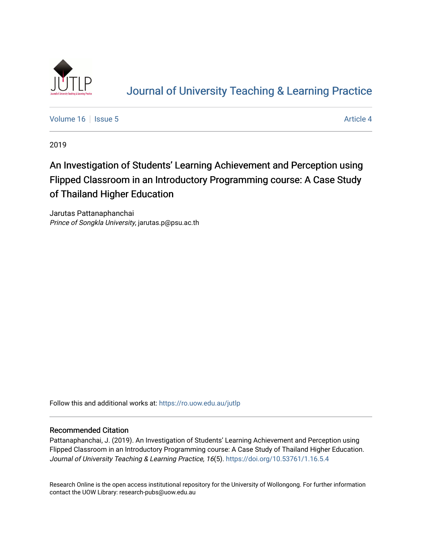

# [Journal of University Teaching & Learning Practice](https://ro.uow.edu.au/jutlp)

[Volume 16](https://ro.uow.edu.au/jutlp/vol16) | [Issue 5](https://ro.uow.edu.au/jutlp/vol16/iss5) Article 4

2019

## An Investigation of Students' Learning Achievement and Perception using Flipped Classroom in an Introductory Programming course: A Case Study of Thailand Higher Education

Jarutas Pattanaphanchai Prince of Songkla University, jarutas.p@psu.ac.th

Follow this and additional works at: [https://ro.uow.edu.au/jutlp](https://ro.uow.edu.au/jutlp?utm_source=ro.uow.edu.au%2Fjutlp%2Fvol16%2Fiss5%2F4&utm_medium=PDF&utm_campaign=PDFCoverPages) 

## Recommended Citation

Pattanaphanchai, J. (2019). An Investigation of Students' Learning Achievement and Perception using Flipped Classroom in an Introductory Programming course: A Case Study of Thailand Higher Education. Journal of University Teaching & Learning Practice, 16(5). <https://doi.org/10.53761/1.16.5.4>

Research Online is the open access institutional repository for the University of Wollongong. For further information contact the UOW Library: research-pubs@uow.edu.au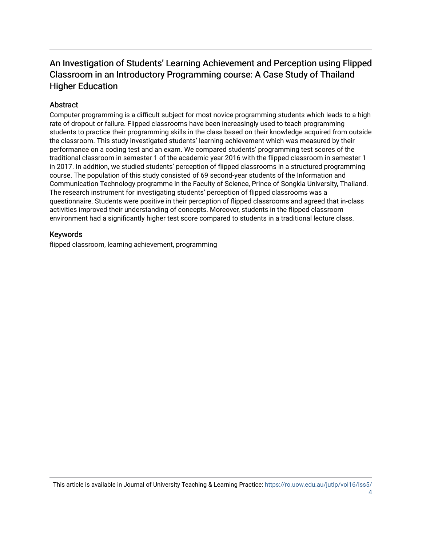## An Investigation of Students' Learning Achievement and P erception using Flipped Classroom in an Introductory Programming course: A Case Study of Thailand Higher Education

## **Abstract**

Computer programming is a difficult subject for most novice programming students which leads to a high rate of dropout or failure. Flipped classrooms have been increasingly used to teach programming students to practice their programming skills in the class based on their knowledge acquired from outside the classroom. This study investigated students' learning achievement which was measured by their performance on a coding test and an exam. We compared students' programming test scores of the traditional classroom in semester 1 of the academic year 2016 with the flipped classroom in semester 1 in 2017. In addition, we studied students' perception of flipped classrooms in a structured programming course. The population of this study consisted of 69 second-year students of the Information and Communication Technology programme in the Faculty of Science, Prince of Songkla University, Thailand. The research instrument for investigating students' perception of flipped classrooms was a questionnaire. Students were positive in their perception of flipped classrooms and agreed that in-class activities improved their understanding of concepts. Moreover, students in the flipped classroom environment had a significantly higher test score compared to students in a traditional lecture class.

## Keywords

flipped classroom, learning achievement, programming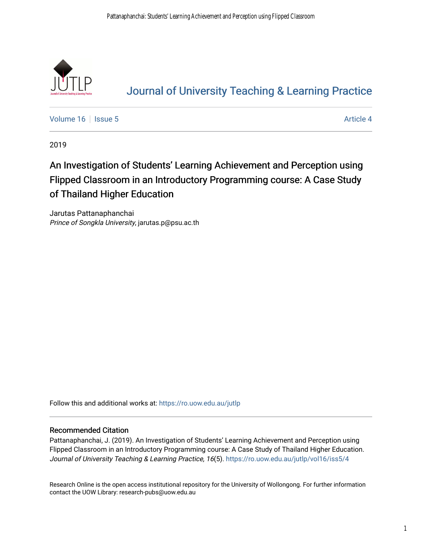

# [Journal of University Teaching & Learning Practice](https://ro.uow.edu.au/jutlp)

[Volume 16](https://ro.uow.edu.au/jutlp/vol16) | [Issue 5](https://ro.uow.edu.au/jutlp/vol16/iss5) Article 4

2019

# An Investigation of Students' Learning Achievement and Perception using Flipped Classroom in an Introductory Programming course: A Case Study of Thailand Higher Education

Jarutas Pattanaphanchai Prince of Songkla University, jarutas.p@psu.ac.th

Follow this and additional works at: [https://ro.uow.edu.au/jutlp](https://ro.uow.edu.au/jutlp?utm_source=ro.uow.edu.au%2Fjutlp%2Fvol16%2Fiss5%2F4&utm_medium=PDF&utm_campaign=PDFCoverPages) 

## Recommended Citation

Pattanaphanchai, J. (2019). An Investigation of Students' Learning Achievement and Perception using Flipped Classroom in an Introductory Programming course: A Case Study of Thailand Higher Education. Journal of University Teaching & Learning Practice, 16(5). [https://ro.uow.edu.au/jutlp/vol16/iss5/4](https://ro.uow.edu.au/jutlp/vol16/iss5/4?utm_source=ro.uow.edu.au%2Fjutlp%2Fvol16%2Fiss5%2F4&utm_medium=PDF&utm_campaign=PDFCoverPages) 

Research Online is the open access institutional repository for the University of Wollongong. For further information contact the UOW Library: research-pubs@uow.edu.au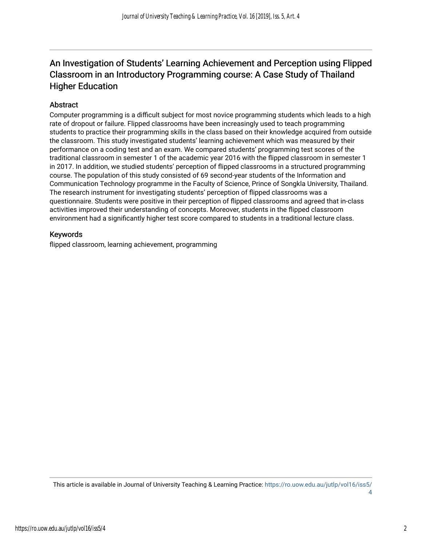## An Investigation of Students' Learning Achievement and Perception using Flipped Classroom in an Introductory Programming course: A Case Study of Thailand Higher Education

## **Abstract**

Computer programming is a difficult subject for most novice programming students which leads to a high rate of dropout or failure. Flipped classrooms have been increasingly used to teach programming students to practice their programming skills in the class based on their knowledge acquired from outside the classroom. This study investigated students' learning achievement which was measured by their performance on a coding test and an exam. We compared students' programming test scores of the traditional classroom in semester 1 of the academic year 2016 with the flipped classroom in semester 1 in 2017. In addition, we studied students' perception of flipped classrooms in a structured programming course. The population of this study consisted of 69 second-year students of the Information and Communication Technology programme in the Faculty of Science, Prince of Songkla University, Thailand. The research instrument for investigating students' perception of flipped classrooms was a questionnaire. Students were positive in their perception of flipped classrooms and agreed that in-class activities improved their understanding of concepts. Moreover, students in the flipped classroom environment had a significantly higher test score compared to students in a traditional lecture class.

## Keywords

flipped classroom, learning achievement, programming

This article is available in Journal of University Teaching & Learning Practice: [https://ro.uow.edu.au/jutlp/vol16/iss5/](https://ro.uow.edu.au/jutlp/vol16/iss5/4) [4](https://ro.uow.edu.au/jutlp/vol16/iss5/4)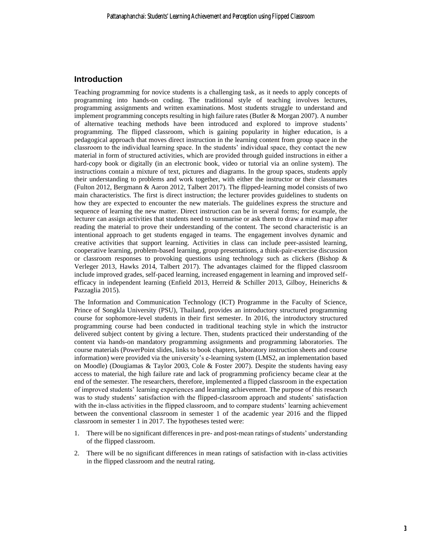## **Introduction**

Teaching programming for novice students is a challenging task, as it needs to apply concepts of programming into hands-on coding. The traditional style of teaching involves lectures, programming assignments and written examinations. Most students struggle to understand and implement programming concepts resulting in high failure rates (Butler & Morgan 2007). A number of alternative teaching methods have been introduced and explored to improve students' programming. The flipped classroom, which is gaining popularity in higher education, is a pedagogical approach that moves direct instruction in the learning content from group space in the classroom to the individual learning space. In the students' individual space, they contact the new material in form of structured activities, which are provided through guided instructions in either a hard-copy book or digitally (in an electronic book, video or tutorial via an online system). The instructions contain a mixture of text, pictures and diagrams. In the group spaces, students apply their understanding to problems and work together, with either the instructor or their classmates (Fulton 2012, Bergmann & Aaron 2012, Talbert 2017). The flipped-learning model consists of two main characteristics. The first is direct instruction; the lecturer provides guidelines to students on how they are expected to encounter the new materials. The guidelines express the structure and sequence of learning the new matter. Direct instruction can be in several forms; for example, the lecturer can assign activities that students need to summarise or ask them to draw a mind map after reading the material to prove their understanding of the content. The second characteristic is an intentional approach to get students engaged in teams. The engagement involves dynamic and creative activities that support learning. Activities in class can include peer-assisted learning, cooperative learning, problem-based learning, group presentations, a think-pair-exercise discussion or classroom responses to provoking questions using technology such as clickers (Bishop  $\&$ Verleger 2013, Hawks 2014, Talbert 2017). The advantages claimed for the flipped classroom include improved grades, self-paced learning, increased engagement in learning and improved selfefficacy in independent learning (Enfield 2013, Herreid & Schiller 2013, Gilboy, Heinerichs & Pazzaglia 2015).

The Information and Communication Technology (ICT) Programme in the Faculty of Science, Prince of Songkla University (PSU), Thailand, provides an introductory structured programming course for sophomore-level students in their first semester. In 2016, the introductory structured programming course had been conducted in traditional teaching style in which the instructor delivered subject content by giving a lecture. Then, students practiced their understanding of the content via hands-on mandatory programming assignments and programming laboratories. The course materials (PowerPoint slides, links to book chapters, laboratory instruction sheets and course information) were provided via the university's e-learning system (LMS2, an implementation based on Moodle) (Dougiamas & Taylor 2003, Cole & Foster 2007). Despite the students having easy access to material, the high failure rate and lack of programming proficiency became clear at the end of the semester. The researchers, therefore, implemented a flipped classroom in the expectation of improved students' learning experiences and learning achievement. The purpose of this research was to study students' satisfaction with the flipped-classroom approach and students' satisfaction with the in-class activities in the flipped classroom, and to compare students' learning achievement between the conventional classroom in semester 1 of the academic year 2016 and the flipped classroom in semester 1 in 2017. The hypotheses tested were:

- 1. There will be no significant differences in pre- and post-mean ratings of students' understanding of the flipped classroom.
- 2. There will be no significant differences in mean ratings of satisfaction with in-class activities in the flipped classroom and the neutral rating.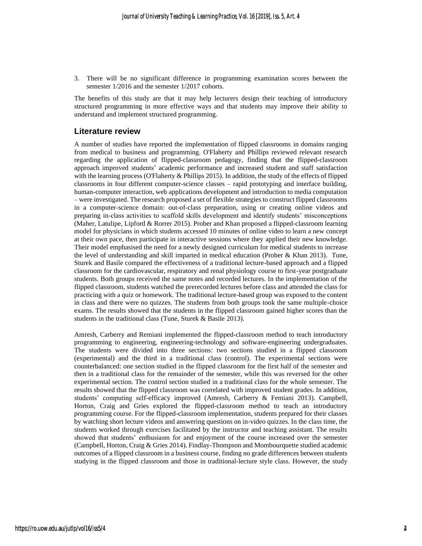3. There will be no significant difference in programming examination scores between the semester 1/2016 and the semester 1/2017 cohorts.

The benefits of this study are that it may help lecturers design their teaching of introductory structured programming in more effective ways and that students may improve their ability to understand and implement structured programming.

### **Literature review**

A number of studies have reported the implementation of flipped classrooms in domains ranging from medical to business and programming. O'Flaherty and Phillips reviewed relevant research regarding the application of flipped-classroom pedagogy, finding that the flipped-classroom approach improved students' academic performance and increased student and staff satisfaction with the learning process (O'Flaherty & Phillips 2015). In addition, the study of the effects of flipped classrooms in four different computer-science classes – rapid prototyping and interface building, human-computer interaction, web applications development and introduction to media computation – were investigated. The research proposed a set of flexible strategies to construct flipped classrooms in a computer-science domain: out-of-class preparation, using or creating online videos and preparing in-class activities to scaffold skills development and identify students' misconceptions (Maher, Latulipe, Lipford & Rorrer 2015). Prober and Khan proposed a flipped-classroom learning model for physicians in which students accessed 10 minutes of online video to learn a new concept at their own pace, then participate in interactive sessions where they applied their new knowledge. Their model emphasised the need for a newly designed curriculum for medical students to increase the level of understanding and skill imparted in medical education (Prober & Khan 2013). Tune, Sturek and Basile compared the effectiveness of a traditional lecture-based approach and a flipped classroom for the cardiovascular, respiratory and renal physiology course to first-year postgraduate students. Both groups received the same notes and recorded lectures. In the implementation of the flipped classroom, students watched the prerecorded lectures before class and attended the class for practicing with a quiz or homework. The traditional lecture-based group was exposed to the content in class and there were no quizzes. The students from both groups took the same multiple-choice exams. The results showed that the students in the flipped classroom gained higher scores than the students in the traditional class (Tune, Sturek & Basile 2013).

Amresh, Carberry and Remiani implemented the flipped-classroom method to teach introductory programming to engineering, engineering-technology and software-engineering undergraduates. The students were divided into three sections: two sections studied in a flipped classroom (experimental) and the third in a traditional class (control). The experimental sections were counterbalanced: one section studied in the flipped classroom for the first half of the semester and then in a traditional class for the remainder of the semester, while this was reversed for the other experimental section. The control section studied in a traditional class for the whole semester. The results showed that the flipped classroom was correlated with improved student grades. In addition, students' computing self-efficacy improved (Amresh, Carberry & Femiani 2013). Campbell, Horton, Craig and Gries explored the flipped-classroom method to teach an introductory programming course. For the flipped-classroom implementation, students prepared for their classes by watching short lecture videos and answering questions on in-video quizzes. In the class time, the students worked through exercises facilitated by the instructor and teaching assistant. The results showed that students' enthusiasm for and enjoyment of the course increased over the semester (Campbell, Horton, Craig & Gries 2014). Findlay-Thompson and Mombourquette studied academic outcomes of a flipped classroom in a business course, finding no grade differences between students studying in the flipped classroom and those in traditional-lecture style class. However, the study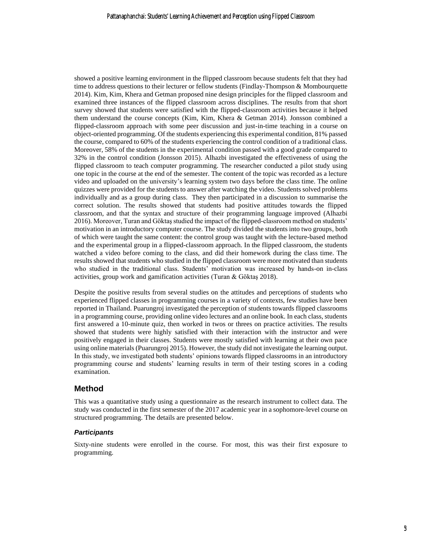showed a positive learning environment in the flipped classroom because students felt that they had time to address questions to their lecturer or fellow students (Findlay-Thompson & Mombourquette 2014). Kim, Kim, Khera and Getman proposed nine design principles for the flipped classroom and examined three instances of the flipped classroom across disciplines. The results from that short survey showed that students were satisfied with the flipped-classroom activities because it helped them understand the course concepts (Kim, Kim, Khera & Getman 2014). Jonsson combined a flipped-classroom approach with some peer discussion and just-in-time teaching in a course on object-oriented programming. Of the students experiencing this experimental condition, 81% passed the course, compared to 60% of the students experiencing the control condition of a traditional class. Moreover, 58% of the students in the experimental condition passed with a good grade compared to 32% in the control condition (Jonsson 2015). Alhazbi investigated the effectiveness of using the flipped classroom to teach computer programming. The researcher conducted a pilot study using one topic in the course at the end of the semester. The content of the topic was recorded as a lecture video and uploaded on the university's learning system two days before the class time. The online quizzes were provided for the students to answer after watching the video. Students solved problems individually and as a group during class. They then participated in a discussion to summarise the correct solution. The results showed that students had positive attitudes towards the flipped classroom, and that the syntax and structure of their programming language improved (Alhazbi 2016). Moreover, Turan and Göktaş studied the impact of the flipped-classroom method on students' motivation in an introductory computer course. The study divided the students into two groups, both of which were taught the same content: the control group was taught with the lecture-based method and the experimental group in a flipped-classroom approach. In the flipped classroom, the students watched a video before coming to the class, and did their homework during the class time. The results showed that students who studied in the flipped classroom were more motivated than students who studied in the traditional class. Students' motivation was increased by hands-on in-class activities, group work and gamification activities (Turan & Göktaş 2018).

Despite the positive results from several studies on the attitudes and perceptions of students who experienced flipped classes in programming courses in a variety of contexts, few studies have been reported in Thailand. Puarungroj investigated the perception of students towards flipped classrooms in a programming course, providing online video lectures and an online book. In each class, students first answered a 10-minute quiz, then worked in twos or threes on practice activities. The results showed that students were highly satisfied with their interaction with the instructor and were positively engaged in their classes. Students were mostly satisfied with learning at their own pace using online materials (Puarungroj 2015). However, the study did not investigate the learning output. In this study, we investigated both students' opinions towards flipped classrooms in an introductory programming course and students' learning results in term of their testing scores in a coding examination.

## **Method**

This was a quantitative study using a questionnaire as the research instrument to collect data. The study was conducted in the first semester of the 2017 academic year in a sophomore-level course on structured programming. The details are presented below.

### *Participants*

Sixty-nine students were enrolled in the course. For most, this was their first exposure to programming.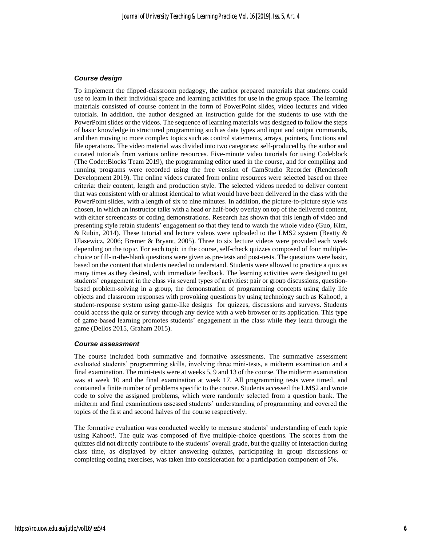#### *Course design*

To implement the flipped-classroom pedagogy, the author prepared materials that students could use to learn in their individual space and learning activities for use in the group space. The learning materials consisted of course content in the form of PowerPoint slides, video lectures and video tutorials. In addition, the author designed an instruction guide for the students to use with the PowerPoint slides or the videos. The sequence of learning materials was designed to follow the steps of basic knowledge in structured programming such as data types and input and output commands, and then moving to more complex topics such as control statements, arrays, pointers, functions and file operations. The video material was divided into two categories: self-produced by the author and curated tutorials from various online resources. Five-minute video tutorials for using Codeblock (The Code::Blocks Team 2019), the programming editor used in the course, and for compiling and running programs were recorded using the free version of CamStudio Recorder (Rendersoft Development 2019). The online videos curated from online resources were selected based on three criteria: their content, length and production style. The selected videos needed to deliver content that was consistent with or almost identical to what would have been delivered in the class with the PowerPoint slides, with a length of six to nine minutes. In addition, the picture-to-picture style was chosen, in which an instructor talks with a head or half-body overlay on top of the delivered content, with either screencasts or coding demonstrations. Research has shown that this length of video and presenting style retain students' engagement so that they tend to watch the whole video (Guo, Kim, & Rubin, 2014). These tutorial and lecture videos were uploaded to the LMS2 system (Beatty  $\&$ Ulasewicz, 2006; Bremer & Bryant, 2005). Three to six lecture videos were provided each week depending on the topic. For each topic in the course, self-check quizzes composed of four multiplechoice or fill-in-the-blank questions were given as pre-tests and post-tests. The questions were basic, based on the content that students needed to understand. Students were allowed to practice a quiz as many times as they desired, with immediate feedback. The learning activities were designed to get students' engagement in the class via several types of activities: pair or group discussions, questionbased problem-solving in a group, the demonstration of programming concepts using daily life objects and classroom responses with provoking questions by using technology such as Kahoot!, a student-response system using game-like designs for quizzes, discussions and surveys. Students could access the quiz or survey through any device with a web browser or its application. This type of game-based learning promotes students' engagement in the class while they learn through the game (Dellos 2015, Graham 2015).

#### *Course assessment*

The course included both summative and formative assessments. The summative assessment evaluated students' programming skills, involving three mini-tests, a midterm examination and a final examination. The mini-tests were at weeks 5, 9 and 13 of the course. The midterm examination was at week 10 and the final examination at week 17. All programming tests were timed, and contained a finite number of problems specific to the course. Students accessed the LMS2 and wrote code to solve the assigned problems, which were randomly selected from a question bank. The midterm and final examinations assessed students' understanding of programming and covered the topics of the first and second halves of the course respectively.

The formative evaluation was conducted weekly to measure students' understanding of each topic using Kahoot!. The quiz was composed of five multiple-choice questions. The scores from the quizzes did not directly contribute to the students' overall grade, but the quality of interaction during class time, as displayed by either answering quizzes, participating in group discussions or completing coding exercises, was taken into consideration for a participation component of 5%.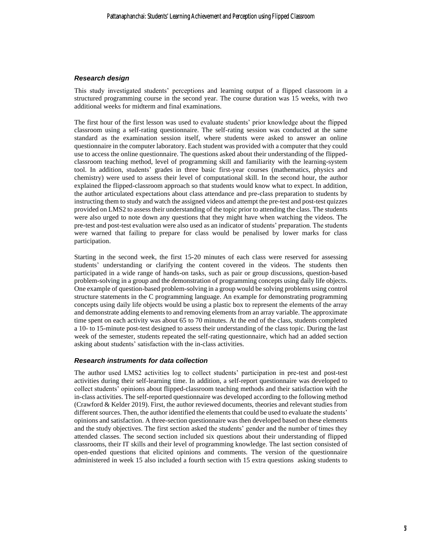#### *Research design*

This study investigated students' perceptions and learning output of a flipped classroom in a structured programming course in the second year. The course duration was 15 weeks, with two additional weeks for midterm and final examinations.

The first hour of the first lesson was used to evaluate students' prior knowledge about the flipped classroom using a self-rating questionnaire. The self-rating session was conducted at the same standard as the examination session itself, where students were asked to answer an online questionnaire in the computer laboratory. Each student was provided with a computer that they could use to access the online questionnaire. The questions asked about their understanding of the flippedclassroom teaching method, level of programming skill and familiarity with the learning-system tool. In addition, students' grades in three basic first-year courses (mathematics, physics and chemistry) were used to assess their level of computational skill. In the second hour, the author explained the flipped-classroom approach so that students would know what to expect. In addition, the author articulated expectations about class attendance and pre-class preparation to students by instructing them to study and watch the assigned videos and attempt the pre-test and post-test quizzes provided on LMS2 to assesstheir understanding of the topic prior to attending the class. The students were also urged to note down any questions that they might have when watching the videos. The pre-test and post-test evaluation were also used as an indicator of students' preparation. The students were warned that failing to prepare for class would be penalised by lower marks for class participation.

Starting in the second week, the first 15-20 minutes of each class were reserved for assessing students' understanding or clarifying the content covered in the videos. The students then participated in a wide range of hands-on tasks, such as pair or group discussions, question-based problem-solving in a group and the demonstration of programming concepts using daily life objects. One example of question-based problem-solving in a group would be solving problems using control structure statements in the C programming language. An example for demonstrating programming concepts using daily life objects would be using a plastic box to represent the elements of the array and demonstrate adding elements to and removing elements from an array variable. The approximate time spent on each activity was about 65 to 70 minutes. At the end of the class, students completed a 10- to 15-minute post-test designed to assess their understanding of the class topic. During the last week of the semester, students repeated the self-rating questionnaire, which had an added section asking about students' satisfaction with the in-class activities.

#### *Research instruments for data collection*

The author used LMS2 activities log to collect students' participation in pre-test and post-test activities during their self-learning time. In addition, a self-report questionnaire was developed to collect students' opinions about flipped-classroom teaching methods and their satisfaction with the in-class activities. The self-reported questionnaire was developed according to the following method (Crawford & Kelder 2019). First, the author reviewed documents, theories and relevant studies from different sources. Then, the author identified the elements that could be used to evaluate the students' opinions and satisfaction. A three-section questionnaire was then developed based on these elements and the study objectives. The first section asked the students' gender and the number of times they attended classes. The second section included six questions about their understanding of flipped classrooms, their IT skills and their level of programming knowledge. The last section consisted of open-ended questions that elicited opinions and comments. The version of the questionnaire administered in week 15 also included a fourth section with 15 extra questions asking students to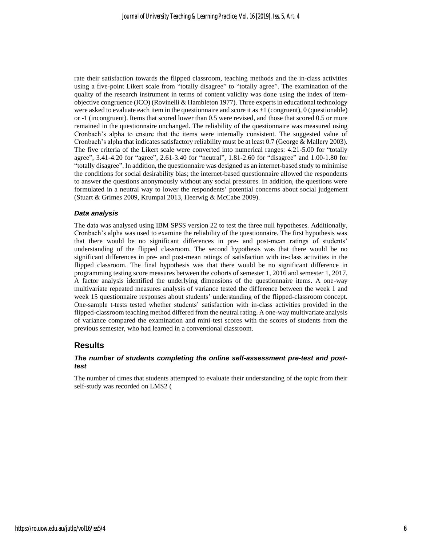rate their satisfaction towards the flipped classroom, teaching methods and the in-class activities using a five-point Likert scale from "totally disagree" to "totally agree". The examination of the quality of the research instrument in terms of content validity was done using the index of itemobjective congruence (ICO) (Rovinelli & Hambleton 1977). Three experts in educational technology were asked to evaluate each item in the questionnaire and score it as  $+1$  (congruent), 0 (questionable) or -1 (incongruent). Items that scored lower than 0.5 were revised, and those that scored 0.5 or more remained in the questionnaire unchanged. The reliability of the questionnaire was measured using Cronbach's alpha to ensure that the items were internally consistent. The suggested value of Cronbach's alpha that indicates satisfactory reliability must be at least 0.7 (George & Mallery 2003). The five criteria of the Likert scale were converted into numerical ranges: 4.21-5.00 for "totally agree", 3.41-4.20 for "agree", 2.61-3.40 for "neutral", 1.81-2.60 for "disagree" and 1.00-1.80 for "totally disagree". In addition, the questionnaire was designed as an internet-based study to minimise the conditions for social desirability bias; the internet-based questionnaire allowed the respondents to answer the questions anonymously without any social pressures. In addition, the questions were formulated in a neutral way to lower the respondents' potential concerns about social judgement (Stuart & Grimes 2009, Krumpal 2013, Heerwig & McCabe 2009).

#### *Data analysis*

The data was analysed using IBM SPSS version 22 to test the three null hypotheses. Additionally, Cronbach's alpha was used to examine the reliability of the questionnaire. The first hypothesis was that there would be no significant differences in pre- and post-mean ratings of students' understanding of the flipped classroom. The second hypothesis was that there would be no significant differences in pre- and post-mean ratings of satisfaction with in-class activities in the flipped classroom. The final hypothesis was that there would be no significant difference in programming testing score measures between the cohorts of semester 1, 2016 and semester 1, 2017. A factor analysis identified the underlying dimensions of the questionnaire items. A one-way multivariate repeated measures analysis of variance tested the difference between the week 1 and week 15 questionnaire responses about students' understanding of the flipped-classroom concept. One-sample t-tests tested whether students' satisfaction with in-class activities provided in the flipped-classroom teaching method differed from the neutral rating. A one-way multivariate analysis of variance compared the examination and mini-test scores with the scores of students from the previous semester, who had learned in a conventional classroom.

#### **Results**

#### *The number of students completing the online self-assessment pre-test and posttest*

The number of times that students attempted to evaluate their understanding of the topic from their self-study was recorded on LMS2 [\(](#page-10-0)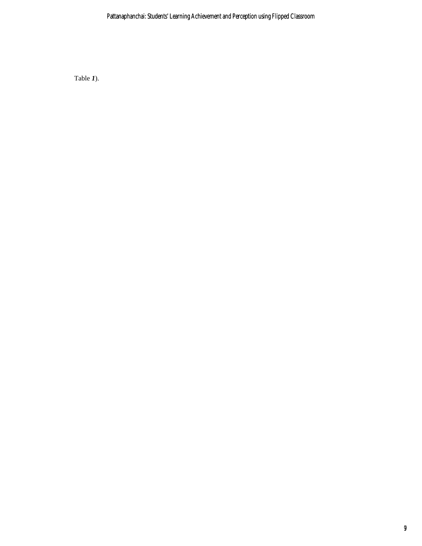<span id="page-10-0"></span>[Table](#page-10-0) *1*).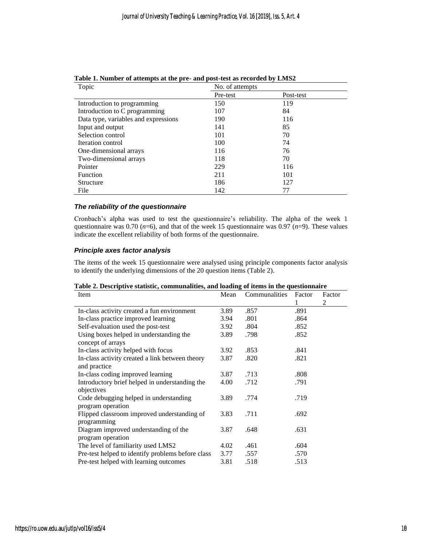| Topic                                | No. of attempts |           |  |
|--------------------------------------|-----------------|-----------|--|
|                                      | Pre-test        | Post-test |  |
| Introduction to programming          | 150             | 119       |  |
| Introduction to C programming        | 107             | 84        |  |
| Data type, variables and expressions | 190             | 116       |  |
| Input and output                     | 141             | 85        |  |
| Selection control                    | 101             | 70        |  |
| Iteration control                    | 100             | 74        |  |
| One-dimensional arrays               | 116             | 76        |  |
| Two-dimensional arrays               | 118             | 70        |  |
| Pointer                              | 229             | 116       |  |
| Function                             | 211             | 101       |  |
| Structure                            | 186             | 127       |  |
| File                                 | 142             | 77        |  |

**Table 1. Number of attempts at the pre- and post-test as recorded by LMS2**

#### *The reliability of the questionnaire*

Cronbach's alpha was used to test the questionnaire's reliability. The alpha of the week 1 questionnaire was  $0.70$  ( $n=6$ ), and that of the week 15 questionnaire was  $0.97$  ( $n=9$ ). These values indicate the excellent reliability of both forms of the questionnaire.

#### *Principle axes factor analysis*

The items of the week 15 questionnaire were analysed using principle components factor analysis to identify the underlying dimensions of the 20 question items (Table 2).

<span id="page-11-0"></span>

| Table 2. Descriptive statistic, communalities, and loading of items in the questionnaire |  |  |  |
|------------------------------------------------------------------------------------------|--|--|--|
|                                                                                          |  |  |  |

| rabic 2. Descriptive statistic, communanties, and ioading of items in the questionnan c |      |               |        |        |  |  |
|-----------------------------------------------------------------------------------------|------|---------------|--------|--------|--|--|
| Item                                                                                    | Mean | Communalities | Factor | Factor |  |  |
|                                                                                         |      |               | 1      | 2      |  |  |
| In-class activity created a fun environment                                             | 3.89 | .857          | .891   |        |  |  |
| In-class practice improved learning                                                     | 3.94 | .801          | .864   |        |  |  |
| Self-evaluation used the post-test                                                      | 3.92 | .804          | .852   |        |  |  |
| Using boxes helped in understanding the                                                 | 3.89 | .798          | .852   |        |  |  |
| concept of arrays                                                                       |      |               |        |        |  |  |
| In-class activity helped with focus                                                     | 3.92 | .853          | .841   |        |  |  |
| In-class activity created a link between theory                                         | 3.87 | .820          | .821   |        |  |  |
| and practice                                                                            |      |               |        |        |  |  |
| In-class coding improved learning                                                       | 3.87 | .713          | .808   |        |  |  |
| Introductory brief helped in understanding the                                          | 4.00 | .712          | .791   |        |  |  |
| objectives                                                                              |      |               |        |        |  |  |
| Code debugging helped in understanding                                                  | 3.89 | .774          | .719   |        |  |  |
| program operation                                                                       |      |               |        |        |  |  |
| Flipped classroom improved understanding of                                             | 3.83 | .711          | .692   |        |  |  |
| programming                                                                             |      |               |        |        |  |  |
| Diagram improved understanding of the                                                   | 3.87 | .648          | .631   |        |  |  |
| program operation                                                                       |      |               |        |        |  |  |
| The level of familiarity used LMS2                                                      | 4.02 | .461          | .604   |        |  |  |
| Pre-test helped to identify problems before class                                       | 3.77 | .557          | .570   |        |  |  |
| Pre-test helped with learning outcomes                                                  | 3.81 | .518          | .513   |        |  |  |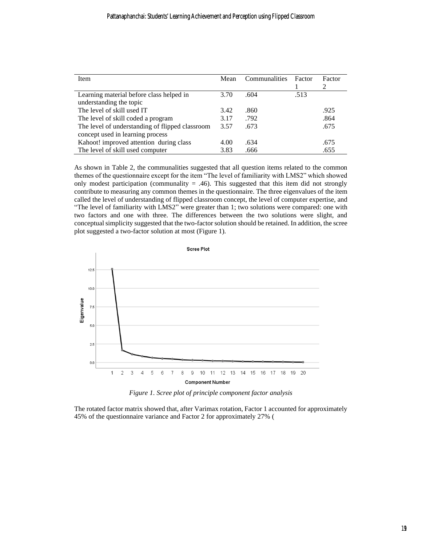| <b>Item</b>                                     | Mean | Communalities | Factor | Factor                      |
|-------------------------------------------------|------|---------------|--------|-----------------------------|
|                                                 |      |               |        | $\mathcal{D}_{\mathcal{L}}$ |
| Learning material before class helped in        | 3.70 | .604          | .513   |                             |
| understanding the topic                         |      |               |        |                             |
| The level of skill used IT                      | 3.42 | .860          |        | .925                        |
| The level of skill coded a program              | 3.17 | .792          |        | .864                        |
| The level of understanding of flipped classroom | 3.57 | .673          |        | .675                        |
| concept used in learning process                |      |               |        |                             |
| Kahoot! improved attention during class         | 4.00 | .634          |        | .675                        |
| The level of skill used computer                | 3.83 | .666          |        | .655                        |

As shown in [Table 2,](#page-11-0) the communalities suggested that all question items related to the common themes of the questionnaire except for the item "The level of familiarity with LMS2" which showed only modest participation (communality  $= .46$ ). This suggested that this item did not strongly contribute to measuring any common themes in the questionnaire. The three eigenvalues of the item called the level of understanding of flipped classroom concept, the level of computer expertise, and "The level of familiarity with LMS2" were greater than 1; two solutions were compared: one with two factors and one with three. The differences between the two solutions were slight, and conceptual simplicity suggested that the two-factor solution should be retained. In addition, the scree plot suggested a two-factor solution at most [\(Figure 1\)](#page-12-0).



*Figure 1. Scree plot of principle component factor analysis*

<span id="page-12-0"></span>The rotated factor matrix showed that, after Varimax rotation, Factor 1 accounted for approximately 45% of the questionnaire variance and Factor 2 for approximately 27% [\(](#page-13-0)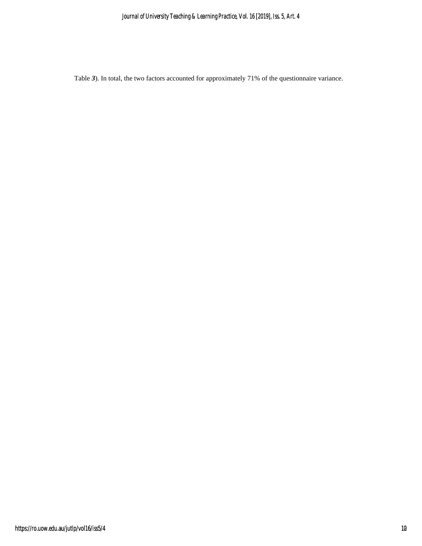<span id="page-13-0"></span>[Table](#page-13-0) *3*). In total, the two factors accounted for approximately 71% of the questionnaire variance.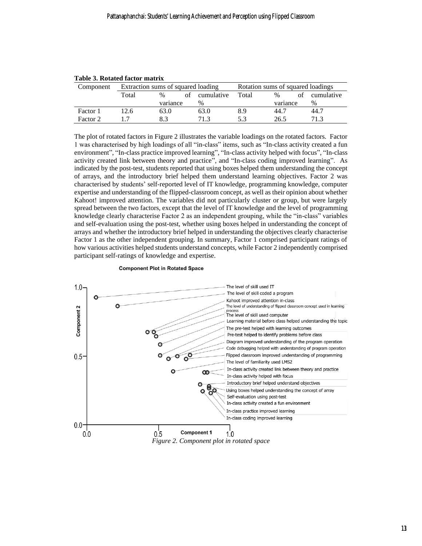| Component | Extraction sums of squared loading |          | Rotation sums of squared loadings |       |               |    |               |
|-----------|------------------------------------|----------|-----------------------------------|-------|---------------|----|---------------|
|           | Total                              | $\%$     | of cumulative                     | Total | $\frac{0}{6}$ | ΩŤ | cumulative    |
|           |                                    | variance | $\%$                              |       | variance      |    | $\frac{0}{0}$ |
| Factor 1  | 12.6                               | 63.0     | 63.0                              | 8.9   | 44.7          |    | 44.7          |
| Factor 2  |                                    | 8.3      | 71.3                              | 5.3   | 26.5          |    |               |

#### **Table 3. Rotated factor matrix**

The plot of rotated factors in [Figure 2](#page-14-0) illustrates the variable loadings on the rotated factors. Factor 1 was characterised by high loadings of all "in-class" items, such as "In-class activity created a fun environment", "In-class practice improved learning", "In-class activity helped with focus", "In-class activity created link between theory and practice", and "In-class coding improved learning". As indicated by the post-test, students reported that using boxes helped them understanding the concept of arrays, and the introductory brief helped them understand learning objectives. Factor 2 was characterised by students' self-reported level of IT knowledge, programming knowledge, computer expertise and understanding of the flipped-classroom concept, as well as their opinion about whether Kahoot! improved attention. The variables did not particularly cluster or group, but were largely spread between the two factors, except that the level of IT knowledge and the level of programming knowledge clearly characterise Factor 2 as an independent grouping, while the "in-class" variables and self-evaluation using the post-test, whether using boxes helped in understanding the concept of arrays and whether the introductory brief helped in understanding the objectives clearly characterise Factor 1 as the other independent grouping. In summary, Factor 1 comprised participant ratings of how various activities helped students understand concepts, while Factor 2 independently comprised participant self-ratings of knowledge and expertise.

<span id="page-14-0"></span>

#### **Component Plot in Rotated Space**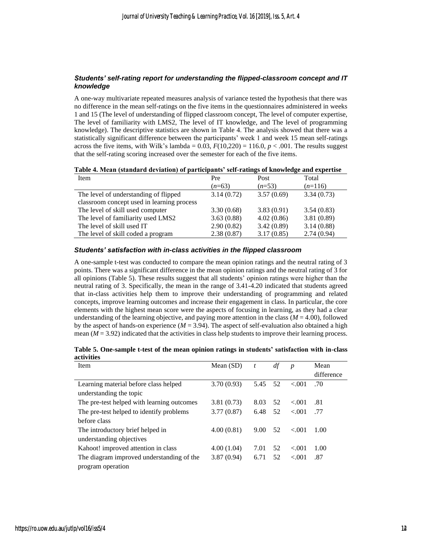#### *Students' self-rating report for understanding the flipped-classroom concept and IT knowledge*

A one-way multivariate repeated measures analysis of variance tested the hypothesis that there was no difference in the mean self-ratings on the five items in the questionnaires administered in weeks 1 and 15 (The level of understanding of flipped classroom concept, The level of computer expertise, The level of familiarity with LMS2, The level of IT knowledge, and The level of programming knowledge). The descriptive statistics are shown in [Table 4.](#page-15-0) The analysis showed that there was a statistically significant difference between the participants' week 1 and week 15 mean self-ratings across the five items, with Wilk's lambda =  $0.03$ ,  $F(10,220) = 116.0$ ,  $p < .001$ . The results suggest that the self-rating scoring increased over the semester for each of the five items.

<span id="page-15-0"></span>

| Table 4. Mean (standard deviation) of participants' self-ratings of knowledge and expertise |  |  |
|---------------------------------------------------------------------------------------------|--|--|
|                                                                                             |  |  |

| Item                                       | Pre        | Post       | Total      |
|--------------------------------------------|------------|------------|------------|
|                                            | $(n=63)$   | $(n=53)$   | $(n=116)$  |
| The level of understanding of flipped      | 3.14(0.72) | 3.57(0.69) | 3.34(0.73) |
| classroom concept used in learning process |            |            |            |
| The level of skill used computer           | 3.30(0.68) | 3.83(0.91) | 3.54(0.83) |
| The level of familiarity used LMS2         | 3.63(0.88) | 4.02(0.86) | 3.81(0.89) |
| The level of skill used IT                 | 2.90(0.82) | 3.42(0.89) | 3.14(0.88) |
| The level of skill coded a program         | 2.38(0.87) | 3.17(0.85) | 2.74(0.94) |

#### *Students' satisfaction with in-class activities in the flipped classroom*

A one-sample t-test was conducted to compare the mean opinion ratings and the neutral rating of 3 points. There was a significant difference in the mean opinion ratings and the neutral rating of 3 for all opinions [\(Table 5\)](#page-15-1). These results suggest that all students' opinion ratings were higher than the neutral rating of 3. Specifically, the mean in the range of 3.41-4.20 indicated that students agreed that in-class activities help them to improve their understanding of programming and related concepts, improve learning outcomes and increase their engagement in class. In particular, the core elements with the highest mean score were the aspects of focusing in learning, as they had a clear understanding of the learning objective, and paying more attention in the class ( $M = 4.00$ ), followed by the aspect of hands-on experience  $(M = 3.94)$ . The aspect of self-evaluation also obtained a high mean ( $M = 3.92$ ) indicated that the activities in class help students to improve their learning process.

<span id="page-15-1"></span>

| Table 5. One-sample t-test of the mean opinion ratings in students' satisfaction with in-class |  |  |
|------------------------------------------------------------------------------------------------|--|--|
| activities                                                                                     |  |  |

| Item                                       | Mean $(SD)$ | t    |    | $\boldsymbol{p}$ | Mean       |
|--------------------------------------------|-------------|------|----|------------------|------------|
|                                            |             |      |    |                  | difference |
| Learning material before class helped      | 3.70(0.93)  | 5.45 | 52 | < 0.01           | .70        |
| understanding the topic                    |             |      |    |                  |            |
| The pre-test helped with learning outcomes | 3.81(0.73)  | 8.03 | 52 | < 0.01           | .81        |
| The pre-test helped to identify problems   | 3.77(0.87)  | 6.48 | 52 | < 0.01           | .77        |
| before class                               |             |      |    |                  |            |
| The introductory brief helped in           | 4.00(0.81)  | 9.00 | 52 | < 0.01           | 1.00       |
| understanding objectives                   |             |      |    |                  |            |
| Kahoot! improved attention in class        | 4.00(1.04)  | 7.01 | 52 | < 0.01           | 1.00       |
| The diagram improved understanding of the  | 3.87(0.94)  | 6.71 | 52 | < 0.001          | .87        |
| program operation                          |             |      |    |                  |            |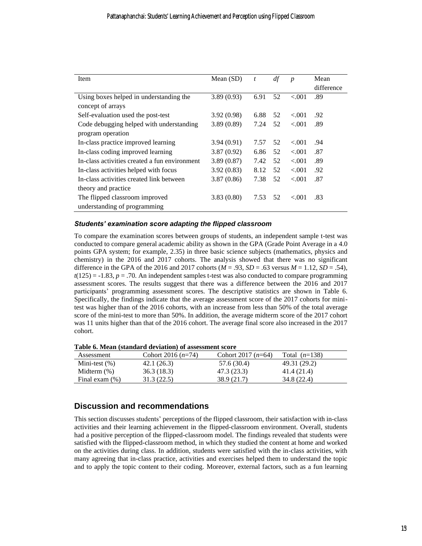| Item                                          | Mean $(SD)$ | t    | df | $\boldsymbol{p}$ | Mean       |
|-----------------------------------------------|-------------|------|----|------------------|------------|
|                                               |             |      |    |                  | difference |
| Using boxes helped in understanding the       | 3.89(0.93)  | 6.91 | 52 | < 0.001          | .89        |
| concept of arrays                             |             |      |    |                  |            |
| Self-evaluation used the post-test            | 3.92(0.98)  | 6.88 | 52 | ${<}001$         | .92        |
| Code debugging helped with understanding      | 3.89(0.89)  | 7.24 | 52 | < 0.001          | .89        |
| program operation                             |             |      |    |                  |            |
| In-class practice improved learning           | 3.94(0.91)  | 7.57 | 52 | ${<}001$         | .94        |
| In-class coding improved learning             | 3.87(0.92)  | 6.86 | 52 | ${<}001$         | .87        |
| In-class activities created a fun environment | 3.89(0.87)  | 7.42 | 52 | < 0.001          | .89        |
| In-class activities helped with focus         | 3.92(0.83)  | 8.12 | 52 | < 0.001          | .92        |
| In-class activities created link between      | 3.87(0.86)  | 7.38 | 52 | < 0.001          | .87        |
| theory and practice                           |             |      |    |                  |            |
| The flipped classroom improved                | 3.83(0.80)  | 7.53 | 52 | ${<}001$         | .83        |
| understanding of programming                  |             |      |    |                  |            |

#### *Students' examination score adapting the flipped classroom*

To compare the examination scores between groups of students, an independent sample t-test was conducted to compare general academic ability as shown in the GPA (Grade Point Average in a 4.0 points GPA system; for example, 2.35) in three basic science subjects (mathematics, physics and chemistry) in the 2016 and 2017 cohorts. The analysis showed that there was no significant difference in the GPA of the 2016 and 2017 cohorts ( $M = .93$ ,  $SD = .63$  versus  $M = 1.12$ ,  $SD = .54$ ),  $t(125) = -1.83$ ,  $p = .70$ . An independent samples t-test was also conducted to compare programming assessment scores. The results suggest that there was a difference between the 2016 and 2017 participants' programming assessment scores. The descriptive statistics are shown in [Table 6.](#page-16-0) Specifically, the findings indicate that the average assessment score of the 2017 cohorts for minitest was higher than of the 2016 cohorts, with an increase from less than 50% of the total average score of the mini-test to more than 50%. In addition, the average midterm score of the 2017 cohort was 11 units higher than that of the 2016 cohort. The average final score also increased in the 2017 cohort.

| Table of Mcan (standard deviation) of assessment score |                      |                      |                 |  |  |  |  |
|--------------------------------------------------------|----------------------|----------------------|-----------------|--|--|--|--|
| Assessment                                             | Cohort 2016 $(n=74)$ | Cohort 2017 $(n=64)$ | Total $(n=138)$ |  |  |  |  |
| Mini-test $(\%)$                                       | 42.1(26.3)           | 57.6 (30.4)          | 49.31 (29.2)    |  |  |  |  |
| Midterm $(\%)$                                         | 36.3(18.3)           | 47.3 (23.3)          | 41.4 (21.4)     |  |  |  |  |
| Final exam $(\%)$                                      | 31.3(22.5)           | 38.9 (21.7)          | 34.8 (22.4)     |  |  |  |  |

<span id="page-16-0"></span>**Table 6. Mean (standard deviation) of assessment score**

### **Discussion and recommendations**

This section discusses students' perceptions of the flipped classroom, their satisfaction with in-class activities and their learning achievement in the flipped-classroom environment. Overall, students had a positive perception of the flipped-classroom model. The findings revealed that students were satisfied with the flipped-classroom method, in which they studied the content at home and worked on the activities during class. In addition, students were satisfied with the in-class activities, with many agreeing that in-class practice, activities and exercises helped them to understand the topic and to apply the topic content to their coding. Moreover, external factors, such as a fun learning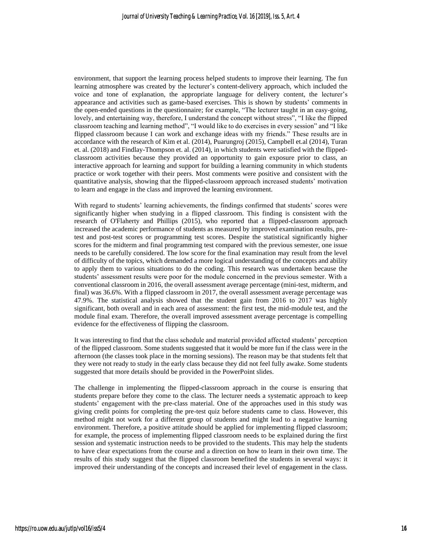environment, that support the learning process helped students to improve their learning. The fun learning atmosphere was created by the lecturer's content-delivery approach, which included the voice and tone of explanation, the appropriate language for delivery content, the lecturer's appearance and activities such as game-based exercises. This is shown by students' comments in the open-ended questions in the questionnaire; for example, "The lecturer taught in an easy-going, lovely, and entertaining way, therefore, I understand the concept without stress", "I like the flipped classroom teaching and learning method", "I would like to do exercises in every session" and "I like flipped classroom because I can work and exchange ideas with my friends." These results are in accordance with the research of Kim et al. (2014), Puarungroj (2015), Campbell et.al (2014), Turan et. al. (2018) and Findlay-Thompson et. al. (2014), in which students were satisfied with the flippedclassroom activities because they provided an opportunity to gain exposure prior to class, an interactive approach for learning and support for building a learning community in which students practice or work together with their peers. Most comments were positive and consistent with the quantitative analysis, showing that the flipped-classroom approach increased students' motivation to learn and engage in the class and improved the learning environment.

With regard to students' learning achievements, the findings confirmed that students' scores were significantly higher when studying in a flipped classroom. This finding is consistent with the research of O'Flaherty and Phillips (2015), who reported that a flipped-classroom approach increased the academic performance of students as measured by improved examination results, pretest and post-test scores or programming test scores. Despite the statistical significantly higher scores for the midterm and final programming test compared with the previous semester, one issue needs to be carefully considered. The low score for the final examination may result from the level of difficulty of the topics, which demanded a more logical understanding of the concepts and ability to apply them to various situations to do the coding. This research was undertaken because the students' assessment results were poor for the module concerned in the previous semester. With a conventional classroom in 2016, the overall assessment average percentage (mini-test, midterm, and final) was 36.6%. With a flipped classroom in 2017, the overall assessment average percentage was 47.9%. The statistical analysis showed that the student gain from 2016 to 2017 was highly significant, both overall and in each area of assessment: the first test, the mid-module test, and the module final exam. Therefore, the overall improved assessment average percentage is compelling evidence for the effectiveness of flipping the classroom.

It was interesting to find that the class schedule and material provided affected students' perception of the flipped classroom. Some students suggested that it would be more fun if the class were in the afternoon (the classes took place in the morning sessions). The reason may be that students felt that they were not ready to study in the early class because they did not feel fully awake. Some students suggested that more details should be provided in the PowerPoint slides.

The challenge in implementing the flipped-classroom approach in the course is ensuring that students prepare before they come to the class. The lecturer needs a systematic approach to keep students' engagement with the pre-class material. One of the approaches used in this study was giving credit points for completing the pre-test quiz before students came to class. However, this method might not work for a different group of students and might lead to a negative learning environment. Therefore, a positive attitude should be applied for implementing flipped classroom; for example, the process of implementing flipped classroom needs to be explained during the first session and systematic instruction needs to be provided to the students. This may help the students to have clear expectations from the course and a direction on how to learn in their own time. The results of this study suggest that the flipped classroom benefited the students in several ways: it improved their understanding of the concepts and increased their level of engagement in the class.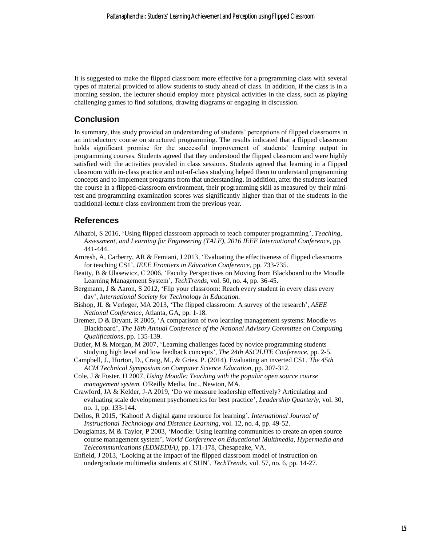It is suggested to make the flipped classroom more effective for a programming class with several types of material provided to allow students to study ahead of class. In addition, if the class is in a morning session, the lecturer should employ more physical activities in the class, such as playing challenging games to find solutions, drawing diagrams or engaging in discussion.

## **Conclusion**

In summary, this study provided an understanding of students' perceptions of flipped classrooms in an introductory course on structured programming. The results indicated that a flipped classroom holds significant promise for the successful improvement of students' learning output in programming courses. Students agreed that they understood the flipped classroom and were highly satisfied with the activities provided in class sessions. Students agreed that learning in a flipped classroom with in-class practice and out-of-class studying helped them to understand programming concepts and to implement programs from that understanding. In addition, after the students learned the course in a flipped-classroom environment, their programming skill as measured by their minitest and programming examination scores was significantly higher than that of the students in the traditional-lecture class environment from the previous year.

#### **References**

- Alhazbi, S 2016, 'Using flipped classroom approach to teach computer programming', *Teaching, Assessment, and Learning for Engineering (TALE), 2016 IEEE International Conference*, pp. 441-444.
- Amresh, A, Carberry, AR & Femiani, J 2013, 'Evaluating the effectiveness of flipped classrooms for teaching CS1', *IEEE Frontiers in Education Conference*, pp. 733-735.
- Beatty, B & Ulasewicz, C 2006, 'Faculty Perspectives on Moving from Blackboard to the Moodle Learning Management System', *TechTrends*, vol. 50, no. 4, pp. 36-45.
- Bergmann, J & Aaron, S 2012, 'Flip your classroom: Reach every student in every class every day', *International Society for Technology in Education.*
- Bishop, JL & Verleger, MA 2013, 'The flipped classroom: A survey of the research', *ASEE National Conference*, Atlanta, GA, pp. 1-18.
- Bremer, D & Bryant, R 2005, 'A comparison of two learning management systems: Moodle vs Blackboard', *The 18th Annual Conference of the National Advisory Committee on Computing Qualifications*, pp. 135-139.
- Butler, M & Morgan, M 2007, 'Learning challenges faced by novice programming students studying high level and low feedback concepts', *The 24th ASCILITE Conference*, pp. 2-5.
- Campbell, J., Horton, D., Craig, M., & Gries, P. (2014). Evaluating an inverted CS1. *The 45th ACM Technical Symposium on Computer Science Education*, pp. 307-312.
- Cole, J & Foster, H 2007, *Using Moodle: Teaching with the popular open source course management system.* O'Reilly Media, Inc., Newton, MA.
- Crawford, JA & Kelder, J-A 2019, 'Do we measure leadership effectively? Articulating and evaluating scale development psychometrics for best practice', *Leadership Quarterly*, vol. 30, no. 1, pp. 133-144.
- Dellos, R 2015, 'Kahoot! A digital game resource for learning', *International Journal of Instructional Technology and Distance Learning*, vol. 12, no. 4, pp. 49-52.
- Dougiamas, M & Taylor, P 2003, 'Moodle: Using learning communities to create an open source course management system', *World Conference on Educational Multimedia, Hypermedia and Telecommunications (EDMEDIA)*, pp. 171-178, Chesapeake, VA.
- Enfield, J 2013, 'Looking at the impact of the flipped classroom model of instruction on undergraduate multimedia students at CSUN', *TechTrends*, vol. 57, no. 6, pp. 14-27.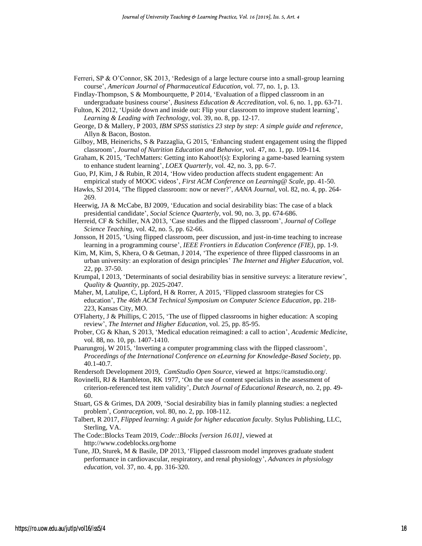- Ferreri, SP & O'Connor, SK 2013, 'Redesign of a large lecture course into a small-group learning course', *American Journal of Pharmaceutical Education*, vol. 77, no. 1, p. 13.
- Findlay-Thompson, S & Mombourquette, P 2014, 'Evaluation of a flipped classroom in an undergraduate business course', *Business Education & Accreditation*, vol. 6, no. 1, pp. 63-71.
- Fulton, K 2012, 'Upside down and inside out: Flip your classroom to improve student learning', *Learning & Leading with Technology*, vol. 39, no. 8, pp. 12-17.
- George, D & Mallery, P 2003, *IBM SPSS statistics 23 step by step: A simple guide and reference,* Allyn & Bacon, Boston.
- Gilboy, MB, Heinerichs, S & Pazzaglia, G 2015, 'Enhancing student engagement using the flipped classroom', *Journal of Nutrition Education and Behavior*, vol. 47, no. 1, pp. 109-114.
- Graham, K 2015, 'TechMatters: Getting into Kahoot!(s): Exploring a game-based learning system to enhance student learning', *LOEX Quarterly*, vol. 42, no. 3, pp. 6-7.
- Guo, PJ, Kim, J & Rubin, R 2014, 'How video production affects student engagement: An empirical study of MOOC videos', *First ACM Conference on Learning@ Scale,* pp. 41-50.
- Hawks, SJ 2014, 'The flipped classroom: now or never?', *AANA Journal*, vol. 82, no. 4, pp. 264- 269.
- Heerwig, JA & McCabe, BJ 2009, 'Education and social desirability bias: The case of a black presidential candidate', *Social Science Quarterly*, vol. 90, no. 3, pp. 674-686.
- Herreid, CF & Schiller, NA 2013, 'Case studies and the flipped classroom', *Journal of College Science Teaching*, vol. 42, no. 5, pp. 62-66.
- Jonsson, H 2015, 'Using flipped classroom, peer discussion, and just-in-time teaching to increase learning in a programming course', *IEEE Frontiers in Education Conference (FIE)*, pp. 1-9.
- Kim, M, Kim, S, Khera, O & Getman, J 2014, 'The experience of three flipped classrooms in an urban university: an exploration of design principles' *The Internet and Higher Education*, vol. 22, pp. 37-50.
- Krumpal, I 2013, 'Determinants of social desirability bias in sensitive surveys: a literature review', *Quality & Quantity*, pp. 2025-2047.
- Maher, M, Latulipe, C, Lipford, H & Rorrer, A 2015, 'Flipped classroom strategies for CS education', *The 46th ACM Technical Symposium on Computer Science Education*, pp. 218- 223, Kansas City, MO.
- O'Flaherty, J & Phillips, C 2015, 'The use of flipped classrooms in higher education: A scoping review', *The Internet and Higher Education*, vol. 25, pp. 85-95.
- Prober, CG & Khan, S 2013, 'Medical education reimagined: a call to action', *Academic Medicine*, vol. 88, no. 10, pp. 1407-1410.
- Puarungroj, W 2015, 'Inverting a computer programming class with the flipped classroom', *Proceedings of the International Conference on eLearning for Knowledge-Based Society,* pp. 40.1-40.7.
- Rendersoft Development 2019, *CamStudio Open Source*, viewed at https://camstudio.org/.
- Rovinelli, RJ & Hambleton, RK 1977, 'On the use of content specialists in the assessment of criterion-referenced test item validity', *Dutch Journal of Educational Research*, no. 2, pp. 49- 60.
- Stuart, GS & Grimes, DA 2009, 'Social desirability bias in family planning studies: a neglected problem', *Contraception*, vol. 80, no. 2, pp. 108-112.
- Talbert, R 2017, *Flipped learning: A guide for higher education faculty.* Stylus Publishing, LLC, Sterling, VA.
- The Code::Blocks Team 2019, *Code::Blocks [version 16.01]*, viewed at http://www.codeblocks.org/home
- Tune, JD, Sturek, M & Basile, DP 2013, 'Flipped classroom model improves graduate student performance in cardiovascular, respiratory, and renal physiology', *Advances in physiology education*, vol. 37, no. 4, pp. 316-320.